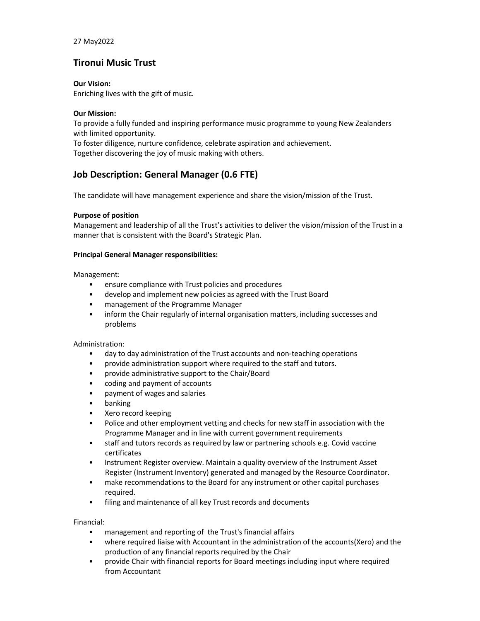27 May2022

## Tironui Music Trust

Our Vision:

Enriching lives with the gift of music.

## Our Mission:

To provide a fully funded and inspiring performance music programme to young New Zealanders with limited opportunity.

To foster diligence, nurture confidence, celebrate aspiration and achievement. Together discovering the joy of music making with others.

# Job Description: General Manager (0.6 FTE)

The candidate will have management experience and share the vision/mission of the Trust.

## Purpose of position

Management and leadership of all the Trust's activities to deliver the vision/mission of the Trust in a manner that is consistent with the Board's Strategic Plan.

## Principal General Manager responsibilities:

Management:

- ensure compliance with Trust policies and procedures
- develop and implement new policies as agreed with the Trust Board
- management of the Programme Manager
- inform the Chair regularly of internal organisation matters, including successes and problems

#### Administration:

- day to day administration of the Trust accounts and non-teaching operations
- provide administration support where required to the staff and tutors.
- provide administrative support to the Chair/Board
- coding and payment of accounts
- payment of wages and salaries
- banking
- Xero record keeping
- Police and other employment vetting and checks for new staff in association with the Programme Manager and in line with current government requirements
- staff and tutors records as required by law or partnering schools e.g. Covid vaccine certificates
- Instrument Register overview. Maintain a quality overview of the Instrument Asset Register (Instrument Inventory) generated and managed by the Resource Coordinator.
- make recommendations to the Board for any instrument or other capital purchases required.
- filing and maintenance of all key Trust records and documents

Financial:

- management and reporting of the Trust's financial affairs
- where required liaise with Accountant in the administration of the accounts(Xero) and the production of any financial reports required by the Chair
- provide Chair with financial reports for Board meetings including input where required from Accountant